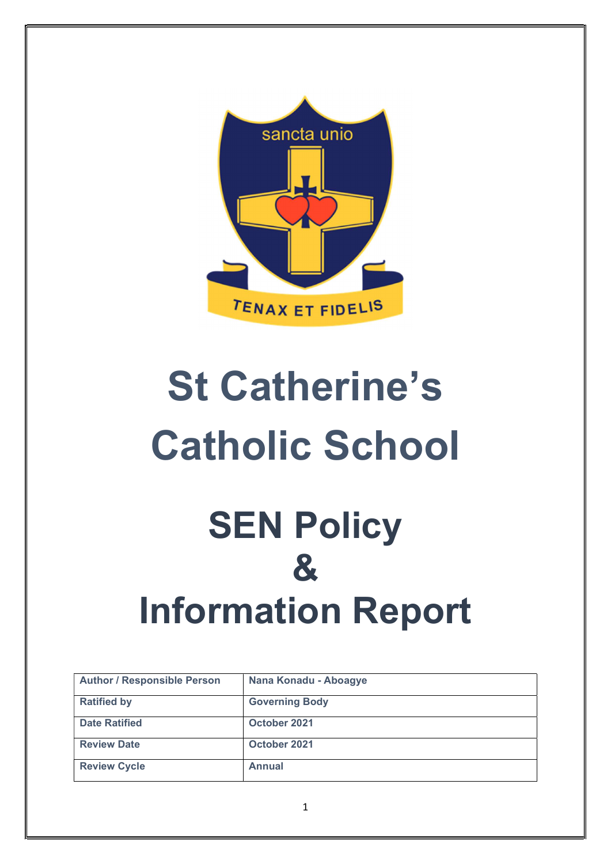

# St Catherine's Catholic School **SEN Policy**

# & Information Report

| <b>Author / Responsible Person</b> | Nana Konadu - Aboagye |
|------------------------------------|-----------------------|
| <b>Ratified by</b>                 | <b>Governing Body</b> |
| <b>Date Ratified</b>               | October 2021          |
| <b>Review Date</b>                 | October 2021          |
| <b>Review Cycle</b>                | <b>Annual</b>         |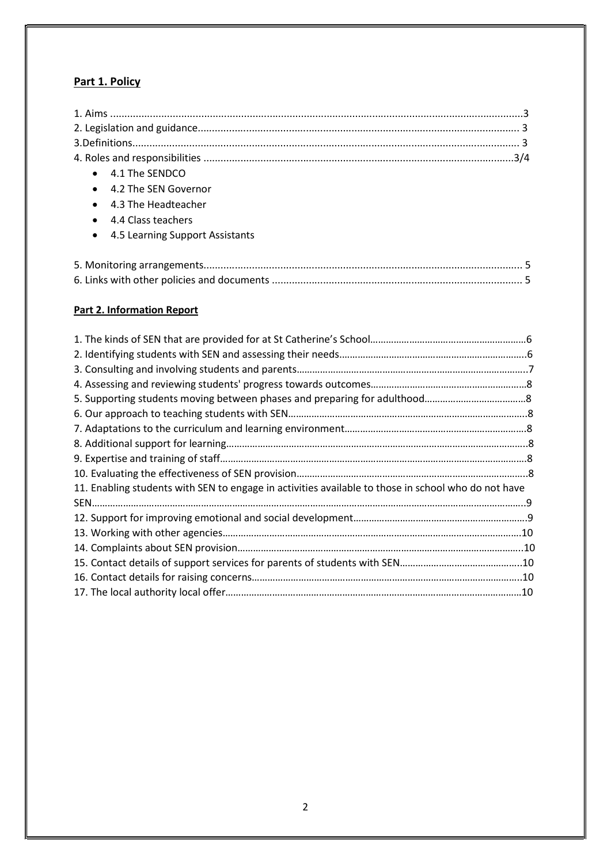### Part 1. Policy

| 4.1 The SENDCO<br>$\bullet$                  |
|----------------------------------------------|
| 4.2 The SEN Governor<br>$\bullet$            |
| 4.3 The Headteacher<br>$\bullet$             |
| 4.4 Class teachers<br>$\bullet$              |
| 4.5 Learning Support Assistants<br>$\bullet$ |
|                                              |
|                                              |
|                                              |
|                                              |

## Part 2. Information Report

| 11. Enabling students with SEN to engage in activities available to those in school who do not have |  |
|-----------------------------------------------------------------------------------------------------|--|
|                                                                                                     |  |
|                                                                                                     |  |
|                                                                                                     |  |
|                                                                                                     |  |
|                                                                                                     |  |
|                                                                                                     |  |
|                                                                                                     |  |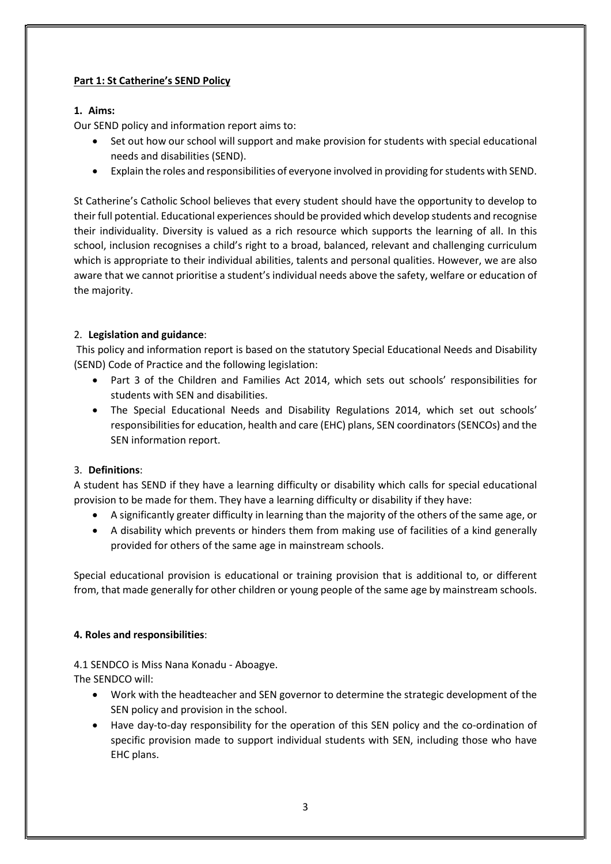#### Part 1: St Catherine's SEND Policy

#### 1. Aims:

Our SEND policy and information report aims to:

- Set out how our school will support and make provision for students with special educational needs and disabilities (SEND).
- Explain the roles and responsibilities of everyone involved in providing for students with SEND.

St Catherine's Catholic School believes that every student should have the opportunity to develop to their full potential. Educational experiences should be provided which develop students and recognise their individuality. Diversity is valued as a rich resource which supports the learning of all. In this school, inclusion recognises a child's right to a broad, balanced, relevant and challenging curriculum which is appropriate to their individual abilities, talents and personal qualities. However, we are also aware that we cannot prioritise a student's individual needs above the safety, welfare or education of the majority.

#### 2. Legislation and guidance:

 This policy and information report is based on the statutory Special Educational Needs and Disability (SEND) Code of Practice and the following legislation:

- Part 3 of the Children and Families Act 2014, which sets out schools' responsibilities for students with SEN and disabilities.
- The Special Educational Needs and Disability Regulations 2014, which set out schools' responsibilities for education, health and care (EHC) plans, SEN coordinators (SENCOs) and the SEN information report.

#### 3. Definitions:

A student has SEND if they have a learning difficulty or disability which calls for special educational provision to be made for them. They have a learning difficulty or disability if they have:

- A significantly greater difficulty in learning than the majority of the others of the same age, or
- A disability which prevents or hinders them from making use of facilities of a kind generally provided for others of the same age in mainstream schools.

Special educational provision is educational or training provision that is additional to, or different from, that made generally for other children or young people of the same age by mainstream schools.

#### 4. Roles and responsibilities:

4.1 SENDCO is Miss Nana Konadu - Aboagye. The SENDCO will:

- Work with the headteacher and SEN governor to determine the strategic development of the SEN policy and provision in the school.
- Have day-to-day responsibility for the operation of this SEN policy and the co-ordination of specific provision made to support individual students with SEN, including those who have EHC plans.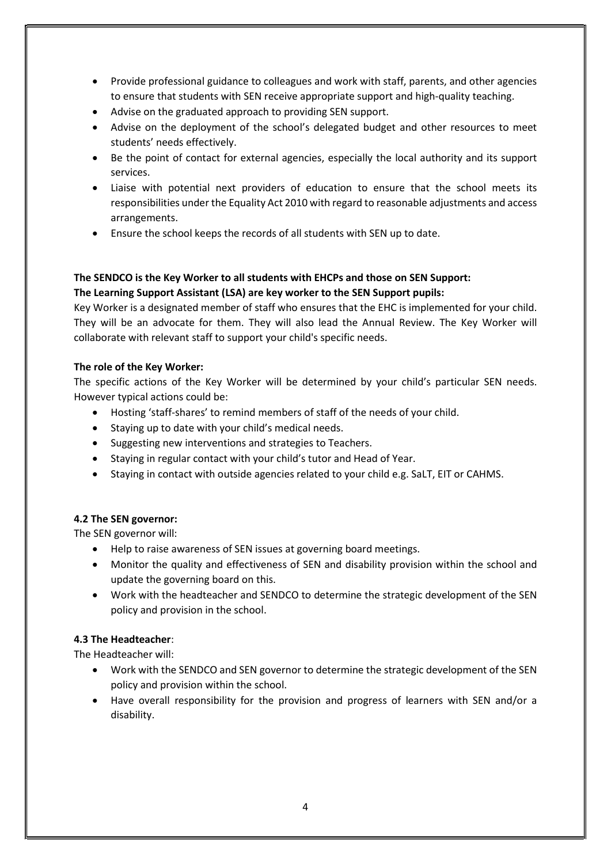- Provide professional guidance to colleagues and work with staff, parents, and other agencies to ensure that students with SEN receive appropriate support and high-quality teaching.
- Advise on the graduated approach to providing SEN support.
- Advise on the deployment of the school's delegated budget and other resources to meet students' needs effectively.
- Be the point of contact for external agencies, especially the local authority and its support services.
- Liaise with potential next providers of education to ensure that the school meets its responsibilities under the Equality Act 2010 with regard to reasonable adjustments and access arrangements.
- Ensure the school keeps the records of all students with SEN up to date.

#### The SENDCO is the Key Worker to all students with EHCPs and those on SEN Support: The Learning Support Assistant (LSA) are key worker to the SEN Support pupils:

Key Worker is a designated member of staff who ensures that the EHC is implemented for your child. They will be an advocate for them. They will also lead the Annual Review. The Key Worker will collaborate with relevant staff to support your child's specific needs.

#### The role of the Key Worker:

The specific actions of the Key Worker will be determined by your child's particular SEN needs. However typical actions could be:

- Hosting 'staff-shares' to remind members of staff of the needs of your child.
- Staying up to date with your child's medical needs.
- Suggesting new interventions and strategies to Teachers.
- Staying in regular contact with your child's tutor and Head of Year.
- Staying in contact with outside agencies related to your child e.g. SaLT, EIT or CAHMS.

#### 4.2 The SEN governor:

The SEN governor will:

- Help to raise awareness of SEN issues at governing board meetings.
- Monitor the quality and effectiveness of SEN and disability provision within the school and update the governing board on this.
- Work with the headteacher and SENDCO to determine the strategic development of the SEN policy and provision in the school.

#### 4.3 The Headteacher:

The Headteacher will:

- Work with the SENDCO and SEN governor to determine the strategic development of the SEN policy and provision within the school.
- Have overall responsibility for the provision and progress of learners with SEN and/or a disability.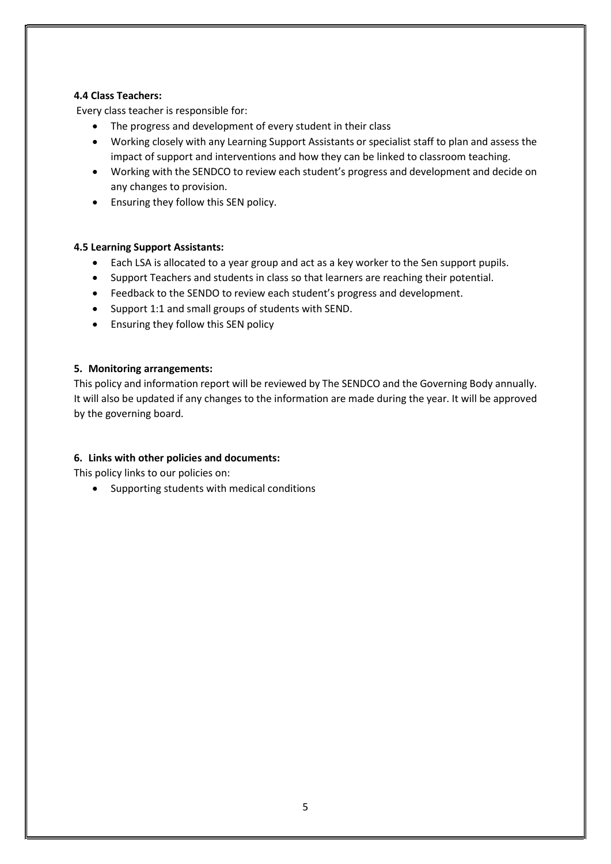#### 4.4 Class Teachers:

Every class teacher is responsible for:

- The progress and development of every student in their class
- Working closely with any Learning Support Assistants or specialist staff to plan and assess the impact of support and interventions and how they can be linked to classroom teaching.
- Working with the SENDCO to review each student's progress and development and decide on any changes to provision.
- Ensuring they follow this SEN policy.

#### 4.5 Learning Support Assistants:

- Each LSA is allocated to a year group and act as a key worker to the Sen support pupils.
- Support Teachers and students in class so that learners are reaching their potential.
- Feedback to the SENDO to review each student's progress and development.
- Support 1:1 and small groups of students with SEND.
- Ensuring they follow this SEN policy

#### 5. Monitoring arrangements:

This policy and information report will be reviewed by The SENDCO and the Governing Body annually. It will also be updated if any changes to the information are made during the year. It will be approved by the governing board.

#### 6. Links with other policies and documents:

This policy links to our policies on:

• Supporting students with medical conditions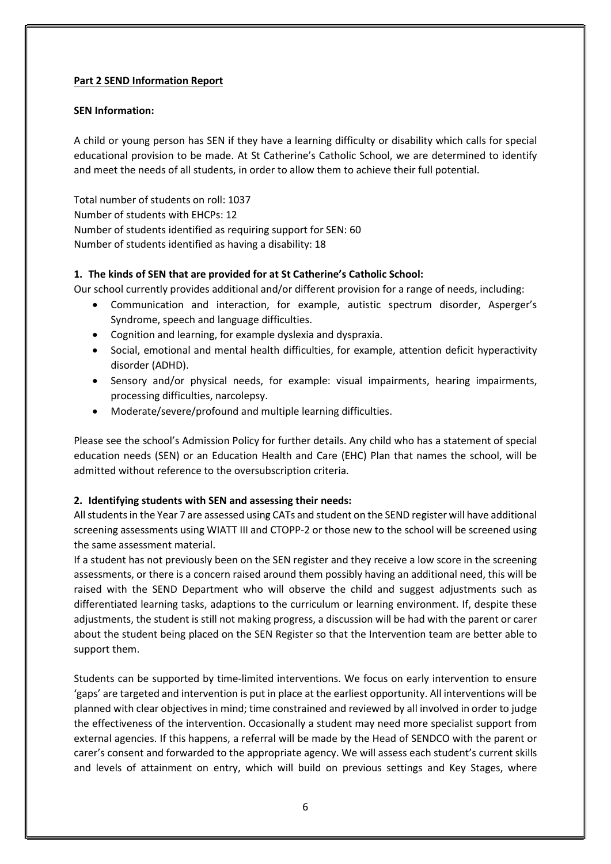#### Part 2 SEND Information Report

#### SEN Information:

A child or young person has SEN if they have a learning difficulty or disability which calls for special educational provision to be made. At St Catherine's Catholic School, we are determined to identify and meet the needs of all students, in order to allow them to achieve their full potential.

Total number of students on roll: 1037 Number of students with EHCPs: 12 Number of students identified as requiring support for SEN: 60 Number of students identified as having a disability: 18

#### 1. The kinds of SEN that are provided for at St Catherine's Catholic School:

Our school currently provides additional and/or different provision for a range of needs, including:

- Communication and interaction, for example, autistic spectrum disorder, Asperger's Syndrome, speech and language difficulties.
- Cognition and learning, for example dyslexia and dyspraxia.
- Social, emotional and mental health difficulties, for example, attention deficit hyperactivity disorder (ADHD).
- Sensory and/or physical needs, for example: visual impairments, hearing impairments, processing difficulties, narcolepsy.
- Moderate/severe/profound and multiple learning difficulties.

Please see the school's Admission Policy for further details. Any child who has a statement of special education needs (SEN) or an Education Health and Care (EHC) Plan that names the school, will be admitted without reference to the oversubscription criteria.

#### 2. Identifying students with SEN and assessing their needs:

All students in the Year 7 are assessed using CATs and student on the SEND register will have additional screening assessments using WIATT III and CTOPP-2 or those new to the school will be screened using the same assessment material.

If a student has not previously been on the SEN register and they receive a low score in the screening assessments, or there is a concern raised around them possibly having an additional need, this will be raised with the SEND Department who will observe the child and suggest adjustments such as differentiated learning tasks, adaptions to the curriculum or learning environment. If, despite these adjustments, the student is still not making progress, a discussion will be had with the parent or carer about the student being placed on the SEN Register so that the Intervention team are better able to support them.

Students can be supported by time-limited interventions. We focus on early intervention to ensure 'gaps' are targeted and intervention is put in place at the earliest opportunity. All interventions will be planned with clear objectives in mind; time constrained and reviewed by all involved in order to judge the effectiveness of the intervention. Occasionally a student may need more specialist support from external agencies. If this happens, a referral will be made by the Head of SENDCO with the parent or carer's consent and forwarded to the appropriate agency. We will assess each student's current skills and levels of attainment on entry, which will build on previous settings and Key Stages, where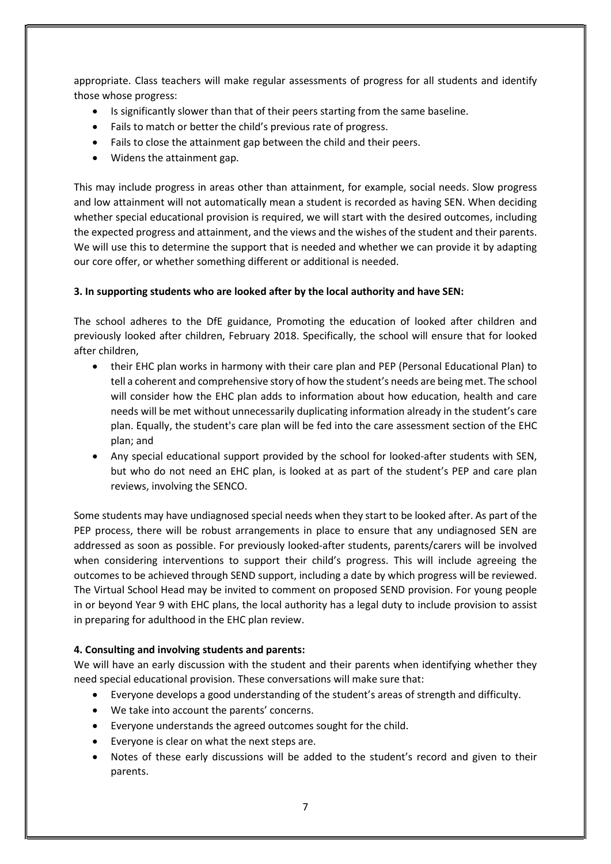appropriate. Class teachers will make regular assessments of progress for all students and identify those whose progress:

- Is significantly slower than that of their peers starting from the same baseline.
- Fails to match or better the child's previous rate of progress.
- Fails to close the attainment gap between the child and their peers.
- Widens the attainment gap.

This may include progress in areas other than attainment, for example, social needs. Slow progress and low attainment will not automatically mean a student is recorded as having SEN. When deciding whether special educational provision is required, we will start with the desired outcomes, including the expected progress and attainment, and the views and the wishes of the student and their parents. We will use this to determine the support that is needed and whether we can provide it by adapting our core offer, or whether something different or additional is needed.

#### 3. In supporting students who are looked after by the local authority and have SEN:

The school adheres to the DfE guidance, Promoting the education of looked after children and previously looked after children, February 2018. Specifically, the school will ensure that for looked after children,

- their EHC plan works in harmony with their care plan and PEP (Personal Educational Plan) to tell a coherent and comprehensive story of how the student's needs are being met. The school will consider how the EHC plan adds to information about how education, health and care needs will be met without unnecessarily duplicating information already in the student's care plan. Equally, the student's care plan will be fed into the care assessment section of the EHC plan; and
- Any special educational support provided by the school for looked-after students with SEN, but who do not need an EHC plan, is looked at as part of the student's PEP and care plan reviews, involving the SENCO.

Some students may have undiagnosed special needs when they start to be looked after. As part of the PEP process, there will be robust arrangements in place to ensure that any undiagnosed SEN are addressed as soon as possible. For previously looked-after students, parents/carers will be involved when considering interventions to support their child's progress. This will include agreeing the outcomes to be achieved through SEND support, including a date by which progress will be reviewed. The Virtual School Head may be invited to comment on proposed SEND provision. For young people in or beyond Year 9 with EHC plans, the local authority has a legal duty to include provision to assist in preparing for adulthood in the EHC plan review.

#### 4. Consulting and involving students and parents:

We will have an early discussion with the student and their parents when identifying whether they need special educational provision. These conversations will make sure that:

- Everyone develops a good understanding of the student's areas of strength and difficulty.
- We take into account the parents' concerns.
- Everyone understands the agreed outcomes sought for the child.
- Everyone is clear on what the next steps are.
- Notes of these early discussions will be added to the student's record and given to their parents.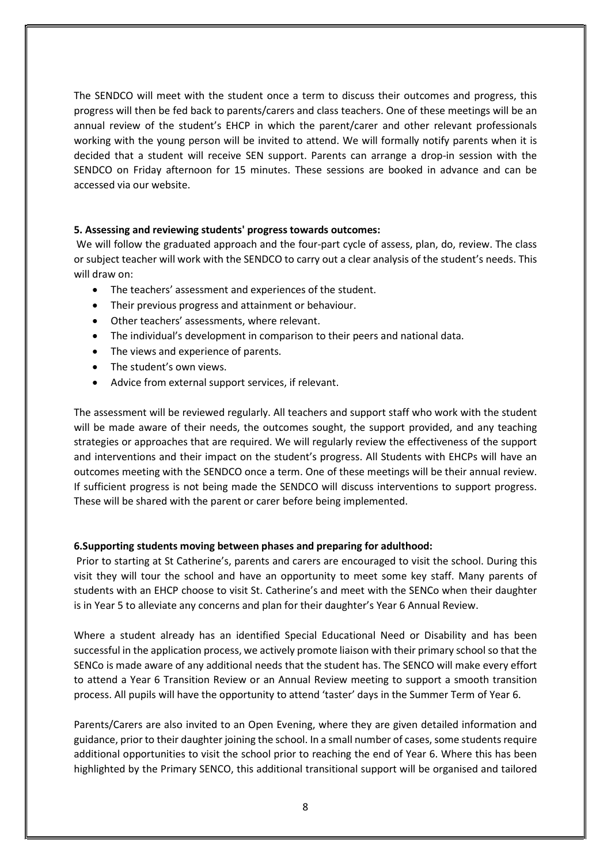The SENDCO will meet with the student once a term to discuss their outcomes and progress, this progress will then be fed back to parents/carers and class teachers. One of these meetings will be an annual review of the student's EHCP in which the parent/carer and other relevant professionals working with the young person will be invited to attend. We will formally notify parents when it is decided that a student will receive SEN support. Parents can arrange a drop-in session with the SENDCO on Friday afternoon for 15 minutes. These sessions are booked in advance and can be accessed via our website.

#### 5. Assessing and reviewing students' progress towards outcomes:

 We will follow the graduated approach and the four-part cycle of assess, plan, do, review. The class or subject teacher will work with the SENDCO to carry out a clear analysis of the student's needs. This will draw on:

- The teachers' assessment and experiences of the student.
- Their previous progress and attainment or behaviour.
- Other teachers' assessments, where relevant.
- The individual's development in comparison to their peers and national data.
- The views and experience of parents.
- The student's own views.
- Advice from external support services, if relevant.

The assessment will be reviewed regularly. All teachers and support staff who work with the student will be made aware of their needs, the outcomes sought, the support provided, and any teaching strategies or approaches that are required. We will regularly review the effectiveness of the support and interventions and their impact on the student's progress. All Students with EHCPs will have an outcomes meeting with the SENDCO once a term. One of these meetings will be their annual review. If sufficient progress is not being made the SENDCO will discuss interventions to support progress. These will be shared with the parent or carer before being implemented.

#### 6.Supporting students moving between phases and preparing for adulthood:

 Prior to starting at St Catherine's, parents and carers are encouraged to visit the school. During this visit they will tour the school and have an opportunity to meet some key staff. Many parents of students with an EHCP choose to visit St. Catherine's and meet with the SENCo when their daughter is in Year 5 to alleviate any concerns and plan for their daughter's Year 6 Annual Review.

Where a student already has an identified Special Educational Need or Disability and has been successful in the application process, we actively promote liaison with their primary school so that the SENCo is made aware of any additional needs that the student has. The SENCO will make every effort to attend a Year 6 Transition Review or an Annual Review meeting to support a smooth transition process. All pupils will have the opportunity to attend 'taster' days in the Summer Term of Year 6.

Parents/Carers are also invited to an Open Evening, where they are given detailed information and guidance, prior to their daughter joining the school. In a small number of cases, some students require additional opportunities to visit the school prior to reaching the end of Year 6. Where this has been highlighted by the Primary SENCO, this additional transitional support will be organised and tailored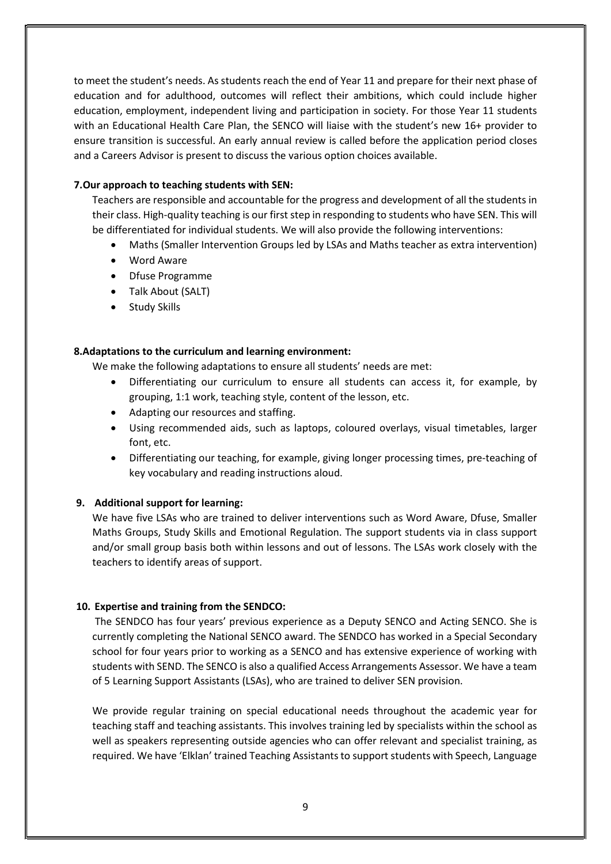to meet the student's needs. As students reach the end of Year 11 and prepare for their next phase of education and for adulthood, outcomes will reflect their ambitions, which could include higher education, employment, independent living and participation in society. For those Year 11 students with an Educational Health Care Plan, the SENCO will liaise with the student's new 16+ provider to ensure transition is successful. An early annual review is called before the application period closes and a Careers Advisor is present to discuss the various option choices available.

#### 7.Our approach to teaching students with SEN:

Teachers are responsible and accountable for the progress and development of all the students in their class. High-quality teaching is our first step in responding to students who have SEN. This will be differentiated for individual students. We will also provide the following interventions:

- Maths (Smaller Intervention Groups led by LSAs and Maths teacher as extra intervention)
- Word Aware
- Dfuse Programme
- Talk About (SALT)
- Study Skills

#### 8.Adaptations to the curriculum and learning environment:

We make the following adaptations to ensure all students' needs are met:

- Differentiating our curriculum to ensure all students can access it, for example, by grouping, 1:1 work, teaching style, content of the lesson, etc.
- Adapting our resources and staffing.
- Using recommended aids, such as laptops, coloured overlays, visual timetables, larger font, etc.
- Differentiating our teaching, for example, giving longer processing times, pre-teaching of key vocabulary and reading instructions aloud.

#### 9. Additional support for learning:

We have five LSAs who are trained to deliver interventions such as Word Aware, Dfuse, Smaller Maths Groups, Study Skills and Emotional Regulation. The support students via in class support and/or small group basis both within lessons and out of lessons. The LSAs work closely with the teachers to identify areas of support.

#### 10. Expertise and training from the SENDCO:

 The SENDCO has four years' previous experience as a Deputy SENCO and Acting SENCO. She is currently completing the National SENCO award. The SENDCO has worked in a Special Secondary school for four years prior to working as a SENCO and has extensive experience of working with students with SEND. The SENCO is also a qualified Access Arrangements Assessor. We have a team of 5 Learning Support Assistants (LSAs), who are trained to deliver SEN provision.

We provide regular training on special educational needs throughout the academic year for teaching staff and teaching assistants. This involves training led by specialists within the school as well as speakers representing outside agencies who can offer relevant and specialist training, as required. We have 'Elklan' trained Teaching Assistants to support students with Speech, Language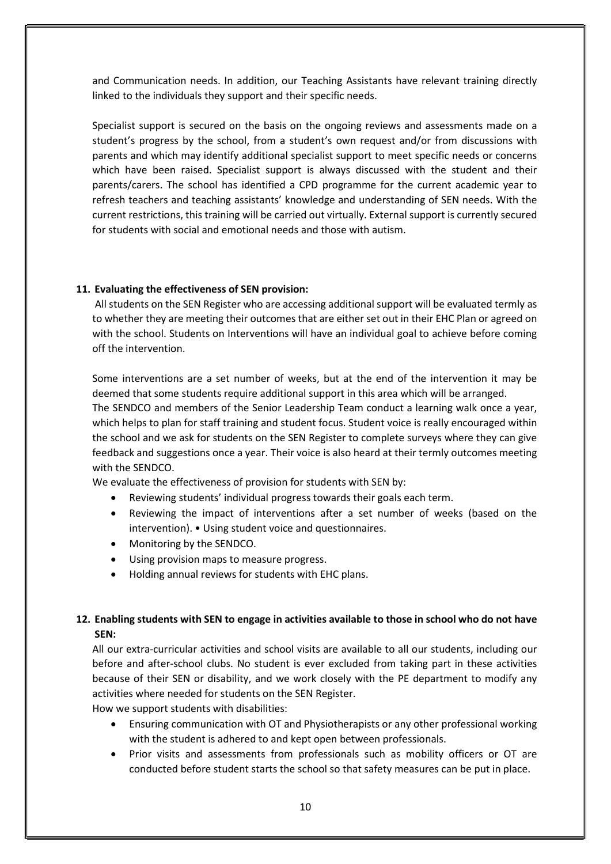and Communication needs. In addition, our Teaching Assistants have relevant training directly linked to the individuals they support and their specific needs.

Specialist support is secured on the basis on the ongoing reviews and assessments made on a student's progress by the school, from a student's own request and/or from discussions with parents and which may identify additional specialist support to meet specific needs or concerns which have been raised. Specialist support is always discussed with the student and their parents/carers. The school has identified a CPD programme for the current academic year to refresh teachers and teaching assistants' knowledge and understanding of SEN needs. With the current restrictions, this training will be carried out virtually. External support is currently secured for students with social and emotional needs and those with autism.

#### 11. Evaluating the effectiveness of SEN provision:

 All students on the SEN Register who are accessing additional support will be evaluated termly as to whether they are meeting their outcomes that are either set out in their EHC Plan or agreed on with the school. Students on Interventions will have an individual goal to achieve before coming off the intervention.

Some interventions are a set number of weeks, but at the end of the intervention it may be deemed that some students require additional support in this area which will be arranged. The SENDCO and members of the Senior Leadership Team conduct a learning walk once a year, which helps to plan for staff training and student focus. Student voice is really encouraged within the school and we ask for students on the SEN Register to complete surveys where they can give feedback and suggestions once a year. Their voice is also heard at their termly outcomes meeting with the SENDCO.

We evaluate the effectiveness of provision for students with SEN by:

- Reviewing students' individual progress towards their goals each term.
- Reviewing the impact of interventions after a set number of weeks (based on the intervention). • Using student voice and questionnaires.
- Monitoring by the SENDCO.
- Using provision maps to measure progress.
- Holding annual reviews for students with EHC plans.

#### 12. Enabling students with SEN to engage in activities available to those in school who do not have SEN:

All our extra-curricular activities and school visits are available to all our students, including our before and after-school clubs. No student is ever excluded from taking part in these activities because of their SEN or disability, and we work closely with the PE department to modify any activities where needed for students on the SEN Register.

How we support students with disabilities:

- Ensuring communication with OT and Physiotherapists or any other professional working with the student is adhered to and kept open between professionals.
- Prior visits and assessments from professionals such as mobility officers or OT are conducted before student starts the school so that safety measures can be put in place.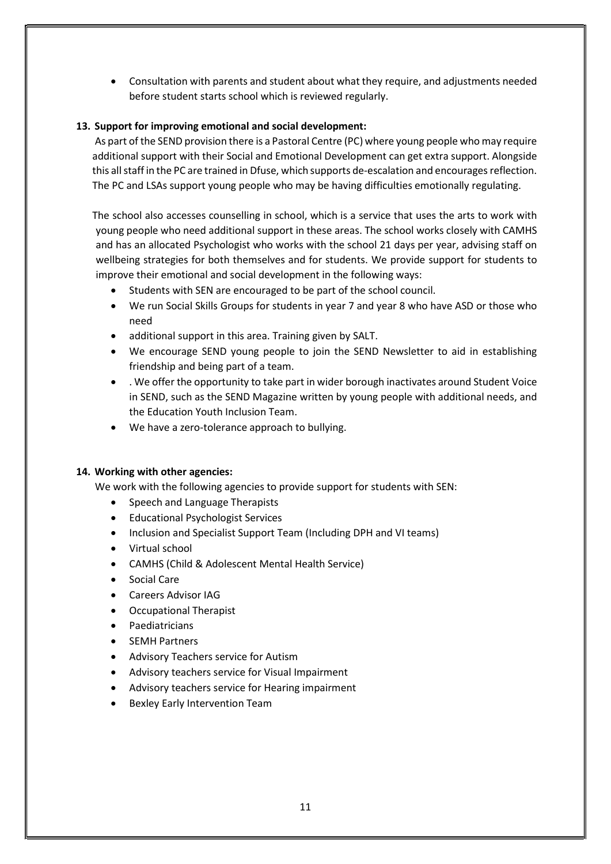Consultation with parents and student about what they require, and adjustments needed before student starts school which is reviewed regularly.

#### 13. Support for improving emotional and social development:

 As part of the SEND provision there is a Pastoral Centre (PC) where young people who may require additional support with their Social and Emotional Development can get extra support. Alongside this all staff in the PC are trained in Dfuse, which supports de-escalation and encourages reflection. The PC and LSAs support young people who may be having difficulties emotionally regulating.

The school also accesses counselling in school, which is a service that uses the arts to work with young people who need additional support in these areas. The school works closely with CAMHS and has an allocated Psychologist who works with the school 21 days per year, advising staff on wellbeing strategies for both themselves and for students. We provide support for students to improve their emotional and social development in the following ways:

- Students with SEN are encouraged to be part of the school council.
- We run Social Skills Groups for students in year 7 and year 8 who have ASD or those who need
- additional support in this area. Training given by SALT.
- We encourage SEND young people to join the SEND Newsletter to aid in establishing friendship and being part of a team.
- . We offer the opportunity to take part in wider borough inactivates around Student Voice in SEND, such as the SEND Magazine written by young people with additional needs, and the Education Youth Inclusion Team.
- We have a zero-tolerance approach to bullying.

#### 14. Working with other agencies:

We work with the following agencies to provide support for students with SEN:

- Speech and Language Therapists
- Educational Psychologist Services
- Inclusion and Specialist Support Team (Including DPH and VI teams)
- Virtual school
- CAMHS (Child & Adolescent Mental Health Service)
- Social Care
- Careers Advisor IAG
- Occupational Therapist
- Paediatricians
- SEMH Partners
- Advisory Teachers service for Autism
- Advisory teachers service for Visual Impairment
- Advisory teachers service for Hearing impairment
- Bexley Early Intervention Team